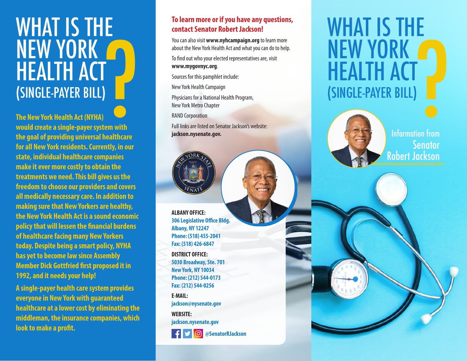## WHAT IS THE NEW YORK<br>HEALTH ACT<br>(SINGLE-PAYER BILL)<br>The New York Health Act (NYHA)<br>would create a single-payer system with<br>the goal of providing universal healthcare **HEALTH ACT**<br>(SINGLE-PAYER BILL)

**The New York Health Act (NYHA) would create a single-payer system with the goal of providing universal healthcare for all New York residents. Currently, in our state, individual healthcare companies make it ever more costly to obtain the treatments we need. This bill gives us the freedom to choose our providers and covers all medically necessary care. In addition to making sure that New Yorkers are healthy, the New York Health Act is a sound economic policy that will lessen the financial burdens of healthcare facing many New Yorkers today. Despite being a smart policy, NYHA has yet to become law since Assembly Member Dick Gottfried first proposed it in 1992, and it needs your help!**

**A single-payer health care system provides everyone in New York with guaranteed healthcare at a lower cost by eliminating the middleman, the insurance companies, which look to make a profit.**

### **To learn more or if you have any questions, contact Senator Robert Jackson!**

You can also visit **www.nyhcampaign.org** to learn more about the New York Health Act and what you can do to help.

To find out who your elected representatives are, visit **www.mygovnyc.org**.

Sources for this pamphlet include:

New York Health Campaign

Physicians for a National Health Program, New York Metro Chapter

RAND Corporation

Full links are listed on Senator Jackson's website: **jackson.nysenate.gov.**



**ALBANY OFFICE: 306 Legislative Office Bldg. Albany, NY 12247 Phone: (518) 455-2041 Fax: (518) 426-6847 DISTRICT OFFICE: 5030 Broadway, Ste. 701 New York, NY 10034 Phone: (212) 544-0173 Fax: (212) 544-0256**

**E-MAIL: jackson@nysenate.gov WEBSITE:**

**jackson.nysenate.gov**



## WHAT IS THE NEW YORK<br>
HEALTH ACT<br>
(SINGLE-PAYER BILL) **HEALTH ACT**<br>(SINGLE-PAYER BILL)



**Senator** Robert Jackson Information from